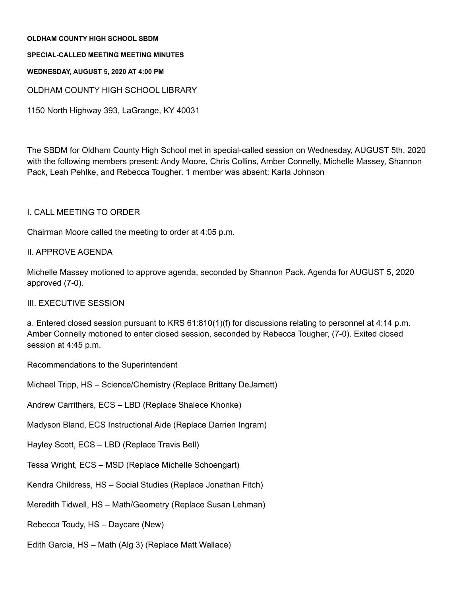#### **OLDHAM COUNTY HIGH SCHOOL SBDM**

#### **SPECIAL-CALLED MEETING MEETING MINUTES**

#### **WEDNESDAY, AUGUST 5, 2020 AT 4:00 PM**

OLDHAM COUNTY HIGH SCHOOL LIBRARY

1150 North Highway 393, LaGrange, KY 40031

The SBDM for Oldham County High School met in special-called session on Wednesday, AUGUST 5th, 2020 with the following members present: Andy Moore, Chris Collins, Amber Connelly, Michelle Massey, Shannon Pack, Leah Pehlke, and Rebecca Tougher. 1 member was absent: Karla Johnson

# I. CALL MEETING TO ORDER

Chairman Moore called the meeting to order at 4:05 p.m.

# II. APPROVE AGENDA

Michelle Massey motioned to approve agenda, seconded by Shannon Pack. Agenda for AUGUST 5, 2020 approved (7-0).

### III. EXECUTIVE SESSION

a. Entered closed session pursuant to KRS 61:810(1)(f) for discussions relating to personnel at 4:14 p.m. Amber Connelly motioned to enter closed session, seconded by Rebecca Tougher, (7-0). Exited closed session at 4:45 p.m.

Recommendations to the Superintendent

Michael Tripp, HS – Science/Chemistry (Replace Brittany DeJarnett)

Andrew Carrithers, ECS – LBD (Replace Shalece Khonke)

Madyson Bland, ECS Instructional Aide (Replace Darrien Ingram)

Hayley Scott, ECS – LBD (Replace Travis Bell)

Tessa Wright, ECS – MSD (Replace Michelle Schoengart)

Kendra Childress, HS – Social Studies (Replace Jonathan Fitch)

Meredith Tidwell, HS – Math/Geometry (Replace Susan Lehman)

Rebecca Toudy, HS – Daycare (New)

Edith Garcia, HS – Math (Alg 3) (Replace Matt Wallace)